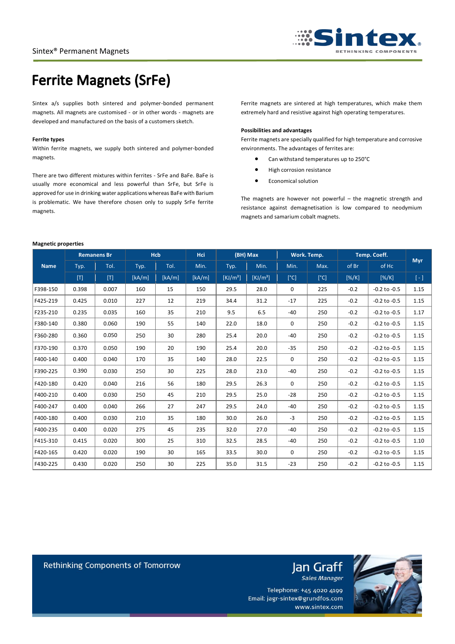

# **Ferrite Magnets (SrFe)**

Sintex a/s supplies both sintered and polymer-bonded permanent magnets. All magnets are customised - or in other words - magnets are developed and manufactured on the basis of a customers sketch.

#### **Ferrite types**

Within ferrite magnets, we supply both sintered and polymer-bonded magnets.

There are two different mixtures within ferrites - SrFe and BaFe. BaFe is usually more economical and less powerful than SrFe, but SrFe is approved for use in drinking water applications whereas BaFe with Barium is problematic. We have therefore chosen only to supply SrFe ferrite magnets.

Ferrite magnets are sintered at high temperatures, which make them extremely hard and resistive against high operating temperatures.

#### **Possibilities and advantages**

Ferrite magnets are specially qualified for high temperature and corrosive environments. The advantages of ferrites are:

- Can withstand temperatures up to 250°C
- High corrosion resistance
- Economical solution

The magnets are however not powerful – the magnetic strength and resistance against demagnetisation is low compared to neodymium magnets and samarium cobalt magnets.

| <b>Magnetic properties</b> |  |
|----------------------------|--|
|----------------------------|--|

|             | <b>Remanens Br</b> |       | <b>Hcb</b> |        | <b>Hci</b> | (BH) Max             |                      | Work. Temp. |      | Temp. Coeff. |                  |            |
|-------------|--------------------|-------|------------|--------|------------|----------------------|----------------------|-------------|------|--------------|------------------|------------|
| <b>Name</b> | Typ.               | Tol.  | Typ.       | Tol.   | Min.       | Typ.                 | Min.                 | Min.        | Max. | of Br        | of Hc            | <b>Myr</b> |
|             | $[T]$              | $[T]$ | [kA/m]     | [kA/m] | [kA/m]     | [KJ/m <sup>3</sup> ] | [KJ/m <sup>3</sup> ] | [°C]        | [°C] | $[\%K]$      | $[\%K]$          | $[ - ]$    |
| F398-150    | 0.398              | 0.007 | 160        | 15     | 150        | 29.5                 | 28.0                 | $\mathbf 0$ | 225  | $-0.2$       | $-0.2$ to $-0.5$ | 1.15       |
| F425-219    | 0.425              | 0.010 | 227        | 12     | 219        | 34.4                 | 31.2                 | $-17$       | 225  | $-0.2$       | $-0.2$ to $-0.5$ | 1.15       |
| F235-210    | 0.235              | 0.035 | 160        | 35     | 210        | 9.5                  | 6.5                  | $-40$       | 250  | $-0.2$       | $-0.2$ to $-0.5$ | 1.17       |
| F380-140    | 0.380              | 0.060 | 190        | 55     | 140        | 22.0                 | 18.0                 | $\mathbf 0$ | 250  | $-0.2$       | $-0.2$ to $-0.5$ | 1.15       |
| F360-280    | 0.360              | 0.050 | 250        | 30     | 280        | 25.4                 | 20.0                 | $-40$       | 250  | $-0.2$       | $-0.2$ to $-0.5$ | 1.15       |
| F370-190    | 0.370              | 0.050 | 190        | 20     | 190        | 25.4                 | 20.0                 | $-35$       | 250  | $-0.2$       | $-0.2$ to $-0.5$ | 1.15       |
| F400-140    | 0.400              | 0.040 | 170        | 35     | 140        | 28.0                 | 22.5                 | $\Omega$    | 250  | $-0.2$       | $-0.2$ to $-0.5$ | 1.15       |
| F390-225    | 0.390              | 0.030 | 250        | 30     | 225        | 28.0                 | 23.0                 | $-40$       | 250  | $-0.2$       | $-0.2$ to $-0.5$ | 1.15       |
| F420-180    | 0.420              | 0.040 | 216        | 56     | 180        | 29.5                 | 26.3                 | $\Omega$    | 250  | $-0.2$       | $-0.2$ to $-0.5$ | 1.15       |
| F400-210    | 0.400              | 0.030 | 250        | 45     | 210        | 29.5                 | 25.0                 | $-28$       | 250  | $-0.2$       | $-0.2$ to $-0.5$ | 1.15       |
| F400-247    | 0.400              | 0.040 | 266        | 27     | 247        | 29.5                 | 24.0                 | $-40$       | 250  | $-0.2$       | $-0.2$ to $-0.5$ | 1.15       |
| F400-180    | 0.400              | 0.030 | 210        | 35     | 180        | 30.0                 | 26.0                 | $-3$        | 250  | $-0.2$       | $-0.2$ to $-0.5$ | 1.15       |
| F400-235    | 0.400              | 0.020 | 275        | 45     | 235        | 32.0                 | 27.0                 | $-40$       | 250  | $-0.2$       | $-0.2$ to $-0.5$ | 1.15       |
| F415-310    | 0.415              | 0.020 | 300        | 25     | 310        | 32.5                 | 28.5                 | $-40$       | 250  | $-0.2$       | $-0.2$ to $-0.5$ | 1.10       |
| F420-165    | 0.420              | 0.020 | 190        | 30     | 165        | 33.5                 | 30.0                 | 0           | 250  | $-0.2$       | $-0.2$ to $-0.5$ | 1.15       |
| F430-225    | 0.430              | 0.020 | 250        | 30     | 225        | 35.0                 | 31.5                 | $-23$       | 250  | $-0.2$       | $-0.2$ to $-0.5$ | 1.15       |





Telephone: +45 4020 4199 Email: jagr-sintex@grundfos.com www.sintex.com

Jan Graff Sales Manager